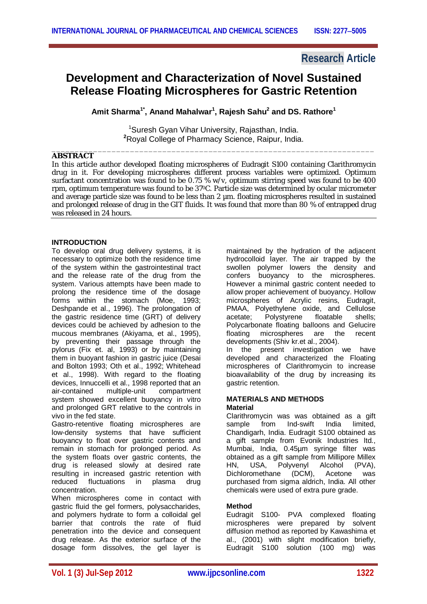# **Research Article**

# **Development and Characterization of Novel Sustained Release Floating Microspheres for Gastric Retention**

**Amit Sharma1\* , Anand Mahalwar<sup>1</sup> , Rajesh Sahu<sup>2</sup> and DS. Rathore<sup>1</sup>**

<sup>1</sup>Suresh Gyan Vihar University, Rajasthan, India. **<sup>2</sup>**Royal College of Pharmacy Science, Raipur, India. \_\_\_\_\_\_\_\_\_\_\_\_\_\_\_\_\_\_\_\_\_\_\_\_\_\_\_\_\_\_\_\_\_\_\_\_\_\_\_\_\_\_\_\_\_\_\_\_\_\_\_\_\_\_\_\_\_\_\_\_\_\_\_\_\_\_\_\_\_\_

# **ABSTRACT**

In this article author developed floating microspheres of Eudragit S100 containing Clarithromycin drug in it. For developing microspheres different process variables were optimized. Optimum surfactant concentration was found to be 0.75 % w/v, optimum stirring speed was found to be 400 rpm, optimum temperature was found to be 370C. Particle size was determined by ocular micrometer and average particle size was found to be less than 2  $\mu$ m. floating microspheres resulted in sustained and prolonged release of drug in the GIT fluids. It was found that more than 80 % of entrapped drug was released in 24 hours.

# **INTRODUCTION**

To develop oral drug delivery systems, it is necessary to optimize both the residence time of the system within the gastrointestinal tract and the release rate of the drug from the system. Various attempts have been made to prolong the residence time of the dosage forms within the stomach (Moe, 1993; Deshpande et al., 1996). The prolongation of the gastric residence time (GRT) of delivery devices could be achieved by adhesion to the mucous membranes (Akiyama, et al., 1995), by preventing their passage through the pylorus (Fix et. al, 1993) or by maintaining them in buovant fashion in gastric juice (Desai and Bolton 1993; Oth et al., 1992; Whitehead et al., 1998). With regard to the floating devices, Innuccelli et al., 1998 reported that an air-contained multiple-unit compartment air-contained multiple-unit compartment system showed excellent buoyancy in vitro and prolonged GRT relative to the controls in vivo in the fed state.

Gastro-retentive floating microspheres are low-density systems that have sufficient buoyancy to float over gastric contents and remain in stomach for prolonged period. As the system floats over gastric contents, the drug is released slowly at desired rate resulting in increased gastric retention with reduced fluctuations in plasma drug concentration.

When microspheres come in contact with gastric fluid the gel formers, polysaccharides, and polymers hydrate to form a colloidal gel barrier that controls the rate of fluid penetration into the device and consequent drug release. As the exterior surface of the dosage form dissolves, the gel layer is maintained by the hydration of the adjacent hydrocolloid layer. The air trapped by the swollen polymer lowers the density and confers buoyancy to the microspheres. However a minimal gastric content needed to allow proper achievement of buoyancy. Hollow microspheres of Acrylic resins, Eudragit, PMAA, Polyethylene oxide, and Cellulose acetate; Polystyrene floatable shells; Polycarbonate floating balloons and Gelucire floating microspheres are the recent developments (Shiv kr.et al., 2004).

In the present investigation we have developed and characterized the Floating microspheres of Clarithromycin to increase bioavailability of the drug by increasing its gastric retention.

### **MATERIALS AND METHODS Material**

Clarithromycin was was obtained as a gift sample from Ind-swift India limited. Chandigarh, India. Eudragit S100 obtained as a gift sample from Evonik Industries ltd., Mumbai, India, 0.45µm syringe filter was obtained as a gift sample from Millipore Millex HN, USA, Polyvenyl Alcohol (PVA), Dichloromethane (DCM), Acetone was purchased from sigma aldrich, India. All other chemicals were used of extra pure grade.

# **Method**

Eudragit S100- PVA complexed floating microspheres were prepared by solvent diffusion method as reported by Kawashima et al., (2001) with slight modification briefly, Eudragit S100 solution (100 mg) was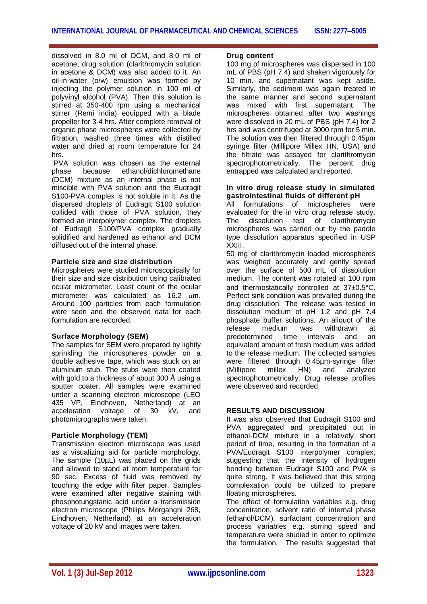dissolved in 8.0 ml of DCM, and 8.0 ml of acetone, drug solution (clarithromycin solution in acetone & DCM) was also added to it. An oil-in-water (o/w) emulsion was formed by injecting the polymer solution in 100 ml of polyvinyl alcohol (PVA). Then this solution is stirred at 350-400 rpm using a mechanical stirrer (Remi india) equipped with a blade propeller for 3-4 hrs. After complete removal of organic phase microspheres were collected by filtration, washed three times with distilled water and dried at room temperature for 24 hrs.

PVA solution was chosen as the external phase because ethanol/dichloromethane (DCM) mixture as an internal phase is not miscible with PVA solution and the Eudragit S100-PVA complex is not soluble in it. As the dispersed droplets of Eudragit S100 solution collided with those of PVA solution, they formed an interpolymer complex. The droplets of Eudragit S100/PVA complex gradually solidified and hardened as ethanol and DCM diffused out of the internal phase.

### **Particle size and size distribution**

Microspheres were studied microscopically for their size and size distribution using calibrated ocular micrometer. Least count of the ocular micrometer was calculated as 16.2 um. Around 100 particles from each formulation were seen and the observed data for each formulation are recorded.

# **Surface Morphology (SEM)**

The samples for SEM were prepared by lightly sprinkling the microspheres powder on a double adhesive tape, which was stuck on an aluminum stub. The stubs were then coated with gold to a thickness of about 300 Å using a sputter coater. All samples were examined under a scanning electron microscope (LEO 435 VP, Eindhoven, Netherland) at an acceleration voltage of 30 kV, and photomicrographs were taken.

# **Particle Morphology (TEM)**

Transmission electron microscope was used as a visualizing aid for particle morphology. The sample (10µL) was placed on the grids and allowed to stand at room temperature for 90 sec. Excess of fluid was removed by touching the edge with filter paper. Samples were examined after negative staining with phosphotungstanic acid under a transmission electron microscope (Philips Morgangni 268, Eindhoven, Netherland) at an acceleration voltage of 20 kV and images were taken.

### **Drug content**

100 mg of microspheres was dispersed in 100 mL of PBS (pH 7.4) and shaken vigorously for 10 min. and supernatant was kept aside. Similarly, the sediment was again treated in the same manner and second supernatant<br>was mixed with first supernatant. The was mixed with first supernatant. microspheres obtained after two washings were dissolved in 20 mL of PBS (pH 7.4) for 2 hrs and was centrifuged at 3000 rpm for  $5$  min. The solution was then filtered through 0.45µm syringe filter (Millipore Millex HN, USA) and the filtrate was assayed for clarithromycin spectrophotometrically. The percent drug entrapped was calculated and reported.

#### **In vitro drug release study in simulated gastrointestinal fluids of different pH**

All formulations of microspheres were evaluated for the in vitro drug release study. The dissolution test of clarithromycin microspheres was carried out by the paddle type dissolution apparatus specified in USP XXIII.

50 mg of clarithromycin loaded microspheres was weighed accurately and gently spread over the surface of 500 mL of dissolution medium. The content was rotated at 100 rpm and thermostatically controlled at  $37\pm0.5^{\circ}$ C. Perfect sink condition was prevailed during the drug dissolution. The release was tested in dissolution medium of pH 1.2 and pH 7.4 phosphate buffer solutions. An aliquot of the release medium was withdrawn at<br>predetermined time intervals and an time intervals and an equivalent amount of fresh medium was added to the release medium. The collected samples were filtered through 0.45µm-syringe filter<br>(Millipore millex HN) and analyzed (Millipore millex HN) and analyzed spectrophotometrically. Drug release profiles were observed and recorded.

### **RESULTS AND DISCUSSION**

It was also observed that Eudragit S100 and PVA aggregated and precipitated out in ethanol-DCM mixture in a relatively short period of time, resulting in the formation of a PVA/Eudragit S100 interpolymer complex, suggesting that the intensity of hydrogen bonding between Eudragit S100 and PVA is quite strong. It was believed that this strong complexation could be utilized to prepare floating microspheres.

The effect of formulation variables e.g. drug concentration, solvent ratio of internal phase (ethanol/DCM), surfactant concentration and process variables e.g. stirring speed and temperature were studied in order to optimize the formulation. The results suggested that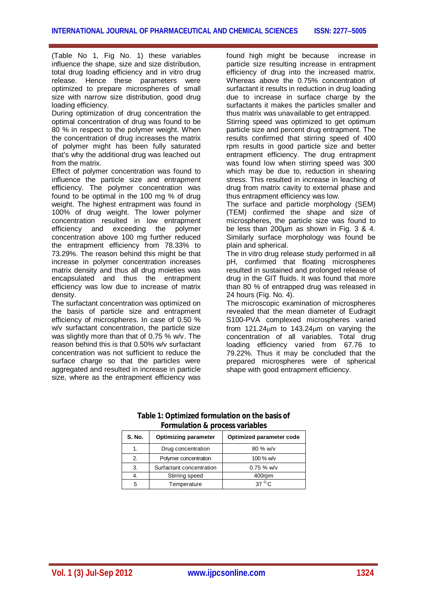(Table No 1, Fig No. 1) these variables influence the shape, size and size distribution, total drug loading efficiency and in vitro drug release. Hence these parameters were optimized to prepare microspheres of small size with narrow size distribution, good drug loading efficiency.

During optimization of drug concentration the optimal concentration of drug was found to be 80 % in respect to the polymer weight. When the concentration of drug increases the matrix of polymer might has been fully saturated that's why the additional drug was leached out from the matrix.

Effect of polymer concentration was found to influence the particle size and entrapment efficiency. The polymer concentration was found to be optimal in the 100 mg % of drug weight. The highest entrapment was found in 100% of drug weight. The lower polymer concentration resulted in low entrapment efficiency and exceeding the polymer concentration above 100 mg further reduced the entrapment efficiency from 78.33% to 73.29%. The reason behind this might be that increase in polymer concentration increases matrix density and thus all drug moieties was encapsulated and thus the entrapment efficiency was low due to increase of matrix density.

The surfactant concentration was optimized on the basis of particle size and entrapment efficiency of microspheres. In case of 0.50 % w/v surfactant concentration, the particle size was slightly more than that of 0.75 % w/v. The reason behind this is that 0.50% w/v surfactant concentration was not sufficient to reduce the surface charge so that the particles were aggregated and resulted in increase in particle size, where as the entrapment efficiency was

found high might be because increase in particle size resulting increase in entrapment efficiency of drug into the increased matrix. Whereas above the 0.75% concentration of surfactant it results in reduction in drug loading due to increase in surface charge by the surfactants it makes the particles smaller and thus matrix was unavailable to get entrapped.

Stirring speed was optimized to get optimum particle size and percent drug entrapment. The results confirmed that stirring speed of 400 rpm results in good particle size and better entrapment efficiency. The drug entrapment was found low when stirring speed was 300 which may be due to, reduction in shearing stress. This resulted in increase in leaching of drug from matrix cavity to external phase and thus entrapment efficiency was low.

The surface and particle morphology (SEM) (TEM) confirmed the shape and size of microspheres, the particle size was found to be less than 200µm as shown in Fig. 3 & 4. Similarly surface morphology was found be plain and spherical.

The in vitro drug release study performed in all pH, confirmed that floating microspheres resulted in sustained and prolonged release of drug in the GIT fluids. It was found that more than 80 % of entrapped drug was released in 24 hours (Fig. No. 4).

The microscopic examination of microspheres revealed that the mean diameter of Eudragit S100-PVA complexed microspheres varied from 121.24m to 143.24m on varying the concentration of all variables. Total drug loading efficiency varied from 67.76 to 79.22%. Thus it may be concluded that the prepared microspheres were of spherical shape with good entrapment efficiency.

| <b>S. No.</b>         | <b>Optimizing parameter</b> | Optimized parameter code |
|-----------------------|-----------------------------|--------------------------|
|                       | Drug concentration          | $80\%$ w/v               |
| $\mathcal{P}_{\cdot}$ | Polymer concentration       | 100 % w/v                |
| 3.                    | Surfactant concentration    | $0.75 \%$ W/v            |
|                       | Stirring speed              | 400rpm                   |
|                       | Temperature                 | $370^{\circ}$            |

# **Table 1: Optimized formulation on the basis of Formulation & process variables**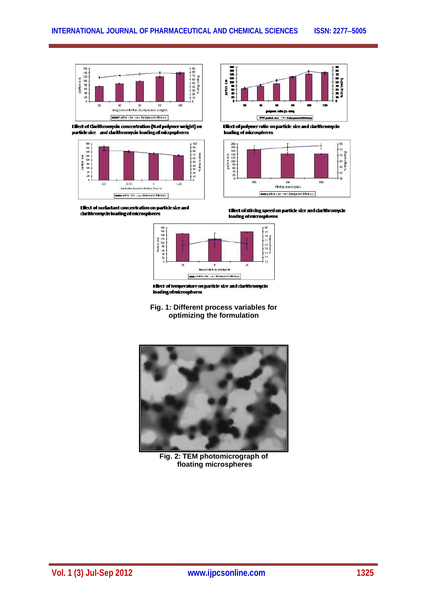

Effect of Clarithromycin concentration (% of polymer weight) on particle size and clarithromycin loading of microspheres



Effect of surfactant concentration on particle size and clarithromycin loading of microspheres



Effect of polymer ratio on particle size and clarithromycin loading of microspheres



Effect of stirring speed on particle size and clarithromycin<br>loading of microspheres



loading of microspheres

**Fig. 1: Different process variables for optimizing the formulation**



**Fig. 2: TEM photomicrograph of floating microspheres**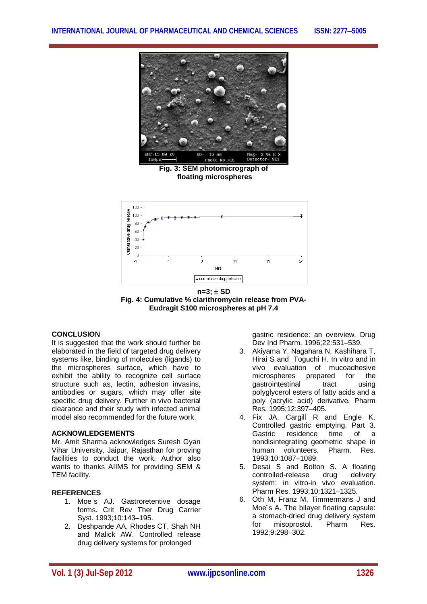

**Fig. 3: SEM photomicrograph of floating microspheres**



**n=3; SD Fig. 4: Cumulative % clarithromycin release from PVA-Eudragit S100 microspheres at pH 7.4**

### **CONCLUSION**

It is suggested that the work should further be elaborated in the field of targeted drug delivery systems like, binding of molecules (ligands) to the microspheres surface, which have to exhibit the ability to recognize cell surface structure such as, lectin, adhesion invasins, antibodies or sugars, which may offer site specific drug delivery. Further in vivo bacterial clearance and their study with infected animal model also recommended for the future work.

### **ACKNOWLEDGEMENTS**

Mr. Amit Sharma acknowledges Suresh Gyan Vihar University, Jaipur, Rajasthan for proving facilities to conduct the work. Author also wants to thanks AIIMS for providing SEM & TEM facility.

# **REFERENCES**

- 1. Moe¨s AJ. Gastroretentive dosage forms. Crit Rev Ther Drug Carrier Syst. 1993;10:143–195.
- 2. Deshpande AA, Rhodes CT, Shah NH and Malick AW. Controlled release drug delivery systems for prolonged

gastric residence: an overview. Drug Dev Ind Pharm. 1996;22:531–539.

- 3. Akiyama Y, Nagahara N, Kashihara T, Hirai S and Toguchi H. In vitro and in vivo evaluation of mucoadhesive microspheres prepared for the gastrointestinal tract using polyglycerol esters of fatty acids and a poly (acrylic acid) derivative. Pharm Res. 1995;12:397–405.
- 4. Fix JA, Cargill R and Engle K. Controlled gastric emptying. Part 3. Gastric residence time of a nondisintegrating geometric shape in human volunteers. Pharm. Res. 1993;10:1087–1089.
- 5. Desai S and Bolton S. A floating controlled-release drug delivery system: in vitro-in vivo evaluation. Pharm Res. 1993;10:1321–1325.
- 6. Oth M, Franz M, Timmermans J and Moe¨s A. The bilayer floating capsule: a stomach-dried drug delivery system<br>for misoprostol. Pharm Res. for misoprostol. Pharm Res. 1992;9:298–302.